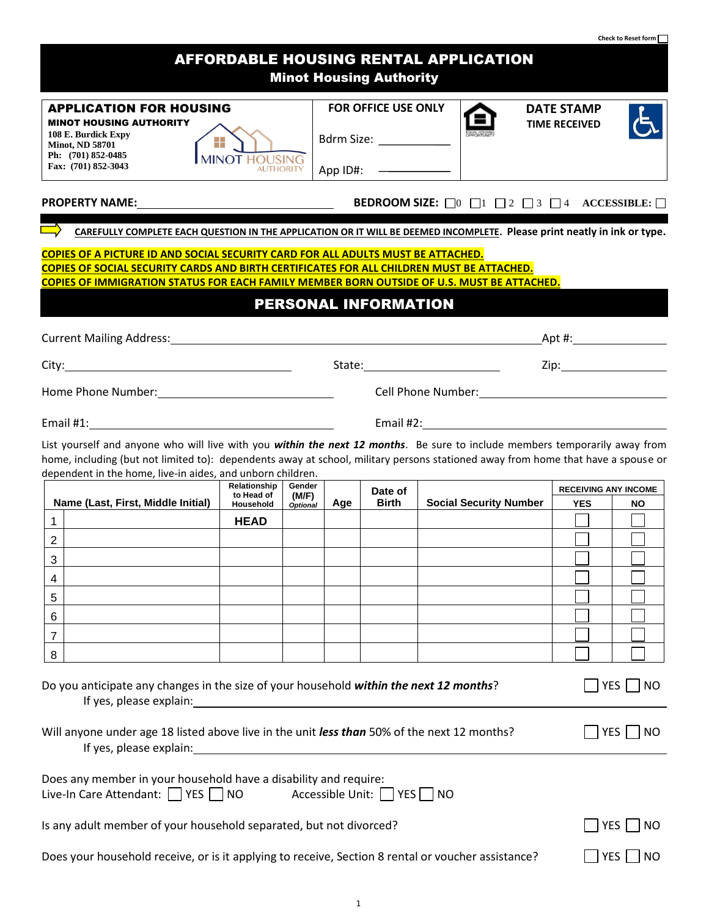|                                                                                                                                                                                                                                                                                                                               |                                                                                                                       |                 |     |                                                                 |                                                                                                                                                                                                                               |                                           | Check to Reset form         |
|-------------------------------------------------------------------------------------------------------------------------------------------------------------------------------------------------------------------------------------------------------------------------------------------------------------------------------|-----------------------------------------------------------------------------------------------------------------------|-----------------|-----|-----------------------------------------------------------------|-------------------------------------------------------------------------------------------------------------------------------------------------------------------------------------------------------------------------------|-------------------------------------------|-----------------------------|
|                                                                                                                                                                                                                                                                                                                               |                                                                                                                       |                 |     | <b>Minot Housing Authority</b>                                  | <b>AFFORDABLE HOUSING RENTAL APPLICATION</b>                                                                                                                                                                                  |                                           |                             |
| <b>APPLICATION FOR HOUSING</b><br><b>MINOT HOUSING AUTHORITY</b><br>108 E. Burdick Expy<br><b>Minot, ND 58701</b><br>Ph: (701) 852-0485<br>Fax: (701) 852-3043                                                                                                                                                                | 45<br><b>MINOT HOUSING</b><br><b>AUTHORIT</b>                                                                         |                 |     | FOR OFFICE USE ONLY<br>Bdrm Size: ____________<br>App ID#: ———— |                                                                                                                                                                                                                               | <b>DATE STAMP</b><br><b>TIME RECEIVED</b> |                             |
|                                                                                                                                                                                                                                                                                                                               |                                                                                                                       |                 |     |                                                                 | <b>BEDROOM SIZE:</b> $\Box$ 0 $\Box$ 1 $\Box$ 2 $\Box$ 3 $\Box$ 4 ACCESSIBLE: $\Box$                                                                                                                                          |                                           |                             |
| CAREFULLY COMPLETE EACH QUESTION IN THE APPLICATION OR IT WILL BE DEEMED INCOMPLETE. Please print neatly in ink or type.                                                                                                                                                                                                      |                                                                                                                       |                 |     |                                                                 |                                                                                                                                                                                                                               |                                           |                             |
| COPIES OF A PICTURE ID AND SOCIAL SECURITY CARD FOR ALL ADULTS MUST BE ATTACHED.<br>COPIES OF SOCIAL SECURITY CARDS AND BIRTH CERTIFICATES FOR ALL CHILDREN MUST BE ATTACHED.<br><b>COPIES OF IMMIGRATION STATUS FOR EACH FAMILY MEMBER BORN OUTSIDE OF U.S. MUST BE ATTACHED.</b>                                            |                                                                                                                       |                 |     | PERSONAL INFORMATION                                            |                                                                                                                                                                                                                               |                                           |                             |
| Current Mailing Address: Manual Manual Manual Mailing Address: Manual Mailing Address:                                                                                                                                                                                                                                        |                                                                                                                       |                 |     |                                                                 |                                                                                                                                                                                                                               | _Apt #:_____________________              |                             |
|                                                                                                                                                                                                                                                                                                                               |                                                                                                                       |                 |     |                                                                 |                                                                                                                                                                                                                               |                                           |                             |
| Home Phone Number: 1997                                                                                                                                                                                                                                                                                                       |                                                                                                                       |                 |     |                                                                 | Cell Phone Number: Name of the College of the College of the College of the College of the College of the College of the College of the College of the College of the College of the College of the College of the College of |                                           |                             |
|                                                                                                                                                                                                                                                                                                                               |                                                                                                                       |                 |     |                                                                 | Email #2: Email #2:                                                                                                                                                                                                           |                                           |                             |
| List yourself and anyone who will live with you within the next 12 months. Be sure to include members temporarily away from<br>home, including (but not limited to): dependents away at school, military persons stationed away from home that have a spouse or<br>dependent in the home, live-in aides, and unborn children. |                                                                                                                       |                 |     |                                                                 |                                                                                                                                                                                                                               |                                           |                             |
|                                                                                                                                                                                                                                                                                                                               | <b>Relationship</b><br>to Head of                                                                                     | Gender<br>(M/F) |     | Date of                                                         |                                                                                                                                                                                                                               |                                           | <b>RECEIVING ANY INCOME</b> |
| Name (Last, First, Middle Initial)<br>$\mathbf{1}$                                                                                                                                                                                                                                                                            | Household<br><b>HEAD</b>                                                                                              | <b>Optional</b> | Age | Birth                                                           | <b>Social Security Number</b>                                                                                                                                                                                                 | <b>YES</b>                                | <b>NO</b>                   |
| $\overline{2}$                                                                                                                                                                                                                                                                                                                |                                                                                                                       |                 |     |                                                                 |                                                                                                                                                                                                                               |                                           |                             |
| 3                                                                                                                                                                                                                                                                                                                             |                                                                                                                       |                 |     |                                                                 |                                                                                                                                                                                                                               |                                           |                             |
| 4                                                                                                                                                                                                                                                                                                                             |                                                                                                                       |                 |     |                                                                 |                                                                                                                                                                                                                               |                                           |                             |
| 5                                                                                                                                                                                                                                                                                                                             |                                                                                                                       |                 |     |                                                                 |                                                                                                                                                                                                                               |                                           |                             |
|                                                                                                                                                                                                                                                                                                                               |                                                                                                                       |                 |     |                                                                 |                                                                                                                                                                                                                               |                                           |                             |
| 6<br>7                                                                                                                                                                                                                                                                                                                        |                                                                                                                       |                 |     |                                                                 |                                                                                                                                                                                                                               |                                           |                             |
| 8                                                                                                                                                                                                                                                                                                                             |                                                                                                                       |                 |     |                                                                 |                                                                                                                                                                                                                               |                                           |                             |
| Do you anticipate any changes in the size of your household within the next 12 months?                                                                                                                                                                                                                                        |                                                                                                                       |                 |     |                                                                 |                                                                                                                                                                                                                               |                                           | YES  <br><b>NO</b>          |
| Will anyone under age 18 listed above live in the unit less than 50% of the next 12 months?<br>If yes, please explain:                                                                                                                                                                                                        | <u> 1989 - Johann John Stein, markin fyrir yr y brenin a gynnwys y gwysiad y gynnwys y gwysiad y gynnwys y gynnwy</u> |                 |     |                                                                 |                                                                                                                                                                                                                               |                                           | YES  <br><b>NO</b>          |
| Does any member in your household have a disability and require:<br>Live-In Care Attendant: $\Box$ YES $\Box$ NO                                                                                                                                                                                                              |                                                                                                                       |                 |     | Accessible Unit:     YES     NO                                 |                                                                                                                                                                                                                               |                                           |                             |
| Is any adult member of your household separated, but not divorced?                                                                                                                                                                                                                                                            |                                                                                                                       |                 |     |                                                                 |                                                                                                                                                                                                                               |                                           | YES    <br>NO               |
| Does your household receive, or is it applying to receive, Section 8 rental or voucher assistance?                                                                                                                                                                                                                            |                                                                                                                       |                 |     |                                                                 |                                                                                                                                                                                                                               |                                           | <b>YES</b><br>NO            |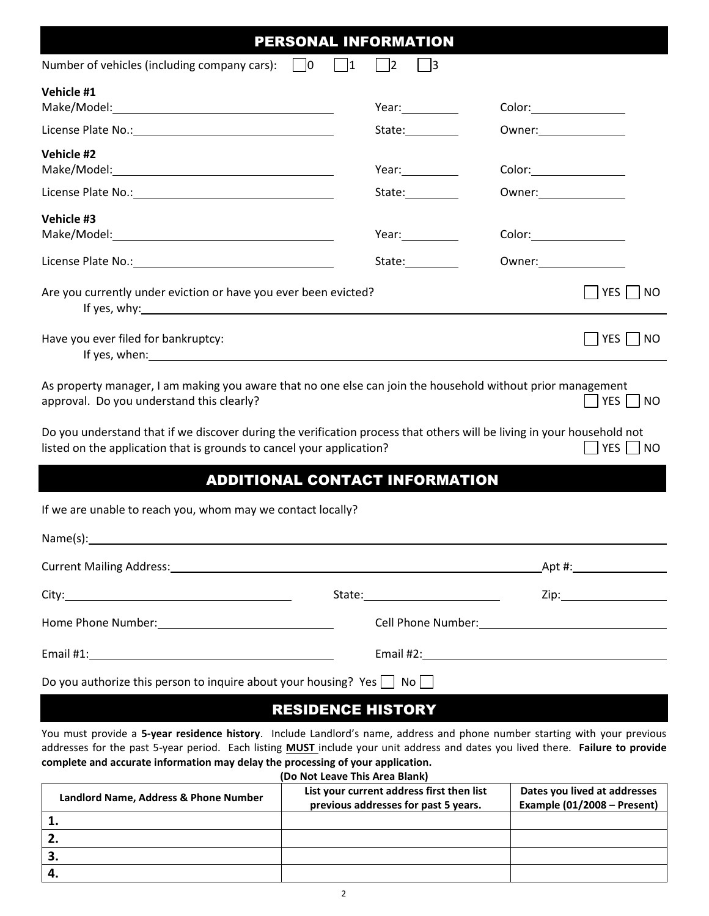|                                                                                                                                                                                                                                                                      | <b>PERSONAL INFORMATION</b>           |                                 |
|----------------------------------------------------------------------------------------------------------------------------------------------------------------------------------------------------------------------------------------------------------------------|---------------------------------------|---------------------------------|
| Number of vehicles (including company cars): $\Box$ 0                                                                                                                                                                                                                | $\vert$  1<br> 2                      |                                 |
| Vehicle #1                                                                                                                                                                                                                                                           | Year: $\sqrt{ }$                      | Color:                          |
| License Plate No.: No. 2008 10:00 10:00 10:00 10:00 10:00 10:00 10:00 10:00 10:00 10:00 10:00 10:00 10:00 10:0                                                                                                                                                       | State:__________                      | Owner: <u>www.community.com</u> |
| Vehicle #2                                                                                                                                                                                                                                                           | Year:_____________                    |                                 |
| License Plate No.: 1999 - 2008 - 2014 12:00 12:00 12:00 12:00 12:00 12:00 12:00 12:00 12:00 12:00 12:00 12:00                                                                                                                                                        | State:___________                     | Owner: _________________        |
| Vehicle #3                                                                                                                                                                                                                                                           | Year:____________                     |                                 |
|                                                                                                                                                                                                                                                                      | State:__________                      | Owner: _________________        |
| Are you currently under eviction or have you ever been evicted?                                                                                                                                                                                                      |                                       | $ $   YES     NO                |
| Have you ever filed for bankruptcy:<br>If yes, when: the contract of the contract of the contract of the contract of the contract of the contract of the contract of the contract of the contract of the contract of the contract of the contract of the contract of |                                       | YES NO                          |
| As property manager, I am making you aware that no one else can join the household without prior management<br>approval. Do you understand this clearly?                                                                                                             |                                       | $YES$   NO                      |
| Do you understand that if we discover during the verification process that others will be living in your household not<br>listed on the application that is grounds to cancel your application?                                                                      |                                       | $ $ YES $ $ NO                  |
|                                                                                                                                                                                                                                                                      | <b>ADDITIONAL CONTACT INFORMATION</b> |                                 |
| If we are unable to reach you, whom may we contact locally?                                                                                                                                                                                                          |                                       |                                 |
| Name(s):                                                                                                                                                                                                                                                             |                                       |                                 |
| Current Mailing Address: Manual Manual Manual Manual Manual Manual Manual Manual Manual Manual Manual Manual M                                                                                                                                                       |                                       |                                 |
|                                                                                                                                                                                                                                                                      |                                       | Zip: __________________         |
| Usawa Dhana Numahan                                                                                                                                                                                                                                                  | Call Dhoise Museopau                  |                                 |

| City:                                                                            | State: _____________________ | Zip:                           |
|----------------------------------------------------------------------------------|------------------------------|--------------------------------|
| Home Phone Number: 1997                                                          |                              | Cell Phone Number:<br><u> </u> |
| Email $#1$ :                                                                     | Email #2:                    |                                |
| Do you authorize this person to inquire about your housing? Yes $\Box$ No $\Box$ |                              |                                |

# RESIDENCE HISTORY

You must provide a **5-year residence history**. Include Landlord's name, address and phone number starting with your previous addresses for the past 5-year period. Each listing **MUST** include your unit address and dates you lived there. **Failure to provide complete and accurate information may delay the processing of your application.**

**(Do Not Leave This Area Blank)**

| Landlord Name, Address & Phone Number | List your current address first then list<br>previous addresses for past 5 years. | Dates you lived at addresses<br>Example (01/2008 - Present) |
|---------------------------------------|-----------------------------------------------------------------------------------|-------------------------------------------------------------|
|                                       |                                                                                   |                                                             |
|                                       |                                                                                   |                                                             |
|                                       |                                                                                   |                                                             |
|                                       |                                                                                   |                                                             |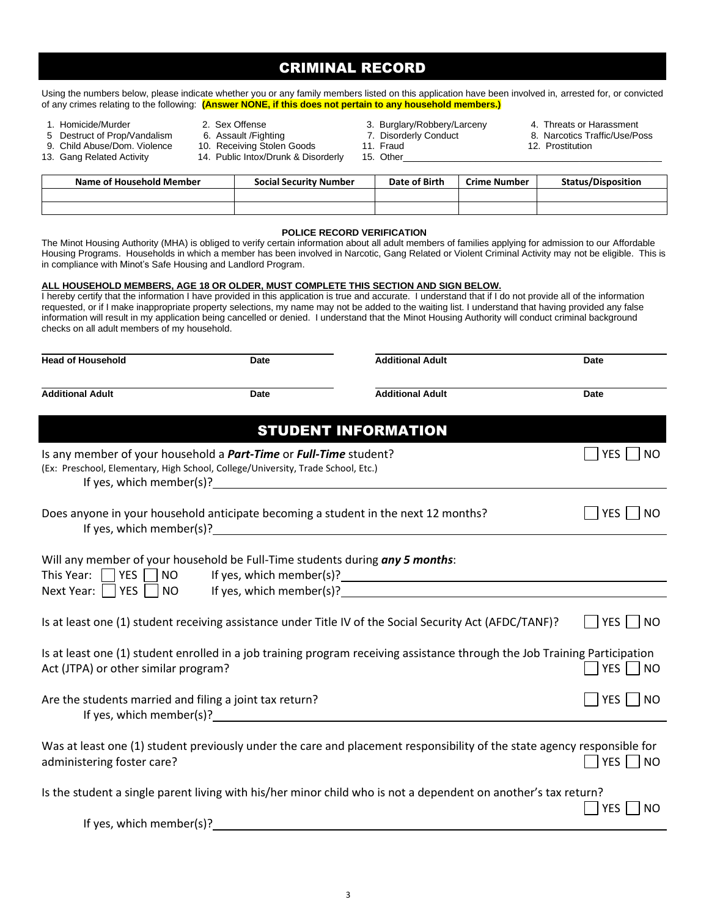3

administering foster care? No was administering foster care?

| Is at least one (1) student receiving assistance under Title IV of the Social Security Act (AFDC/TANF)?                                                            | <b>NO</b><br>YES I   |
|--------------------------------------------------------------------------------------------------------------------------------------------------------------------|----------------------|
| Is at least one (1) student enrolled in a job training program receiving assistance through the Job Training Participation<br>Act (JTPA) or other similar program? | $\Box$ YES $\Box$ NO |
| Are the students married and filing a joint tax return?                                                                                                            | $YES$   NO           |

Next Year:  $\Box$  YES  $\Box$  NO If yes, which member(s)?

Will any member of your household be Full-Time students during *any 5 months*:

This Year:  $\sqrt{YES}$  NO If yes, which member(s)?

## Is any member of your household a **Part-Time** or **Full-Time** student? The student of the student of the student of the student of the student of the student of the student of the student of the student of the student of th (Ex: Preschool, Elementary, High School, College/University, Trade School, Etc.) If yes, which member(s)? Does anyone in your household anticipate becoming a student in the next 12 months?  $\Box$  YES  $\Box$  NO If yes, which member(s)?

| The Minot Housing Authority (MHA) is obliged to verify certain information about all adult members of families applying for admission to our Affo        |  |
|----------------------------------------------------------------------------------------------------------------------------------------------------------|--|
| Housing Programs. Households in which a member has been involved in Narcotic, Gang Related or Violent Criminal Activity may not be eligibl               |  |
| in compliance with Minot's Safe Housing and Landlord Program.                                                                                            |  |
|                                                                                                                                                          |  |
| ALL HOUSEHOLD MEMBERS. AGE 18 OR OLDER. MUST COMPLETE THIS SECTION AND SIGN BELOW.                                                                       |  |
| I hereby certify that the information I have provided in this application is true and accurate. I understand that if I do not provide all of the informa |  |
| requested or if I make insponsoriate property selections, my name may not be added to the waiting list. I understand that having provided any f          |  |

| <b>POLICE RECORD VERIFICATION</b>                                                                                                                       |  |
|---------------------------------------------------------------------------------------------------------------------------------------------------------|--|
| The Minot Housing Authority (MHA) is obliged to verify certain information about all adult members of families applying for admission to our Affordable |  |
| Housing Programs. Households in which a member has been involved in Narcotic, Gang Related or Violent Criminal Activity may not be eligible. This is    |  |

I hereby certify that the information I have provided in this application is true and accurate. I understand that if I do not provide all of the information requested, or if I make inappropriate property selections, my name may not be added to the waiting list. I understand that having provided any false information will result in my application being cancelled or denied. I understand that the Minot Housing Authority will conduct criminal background checks on all adult members of my household.

STUDENT INFORMATION

| Using the numbers below, please indicate whether you or any family members listed on this application have been involved in, arrested for, or convicted |
|---------------------------------------------------------------------------------------------------------------------------------------------------------|
| of any crimes relating to the following: (Answer NONE, if this does not pertain to any household members.)                                              |

**Name of Household Member Social Security Number Date of Birth Crime Number Status/Disposition**

# CRIMINAL RECORD

- 
- 9. Child Abuse/Dom. Violence
- 
- 
- 5 Destruct of Prop/Vandalism 6. Assault /Fighting 7. Disorderly Conduct 8. Narcotics Traffic/Use/Poss<br>9. Child Abuse/Dom. Violence 10. Receiving Stolen Goods 11. Fraud 12. Prostitution 12. Prostitution
- 13. Gang Related Activity 14. Public Intox/Drunk & Disorderly 15. Other
- 
- 1. Homicide/Murder 1. Sex Offense 3. Sex 2. Sex Offense 3. Burglary/Robbery/Larceny 4. Threats or Harassment<br>1. Destruct of Prop/Vandalism 6. Assault /Fighting 7. Disorderly Conduct 8. Narcotics Traffic/Use/Po
	- -
		-

Was at least one (1) student previously under the care and placement responsibility of the state agency responsible for

Is the student a single parent living with his/her minor child who is not a dependent on another's tax return?  $\Box$  YES  $\Box$  NO

If yes, which member(s)?

**Additional Adult Date Additional Adult Date**

**Head of Household Date Additional Adult Date**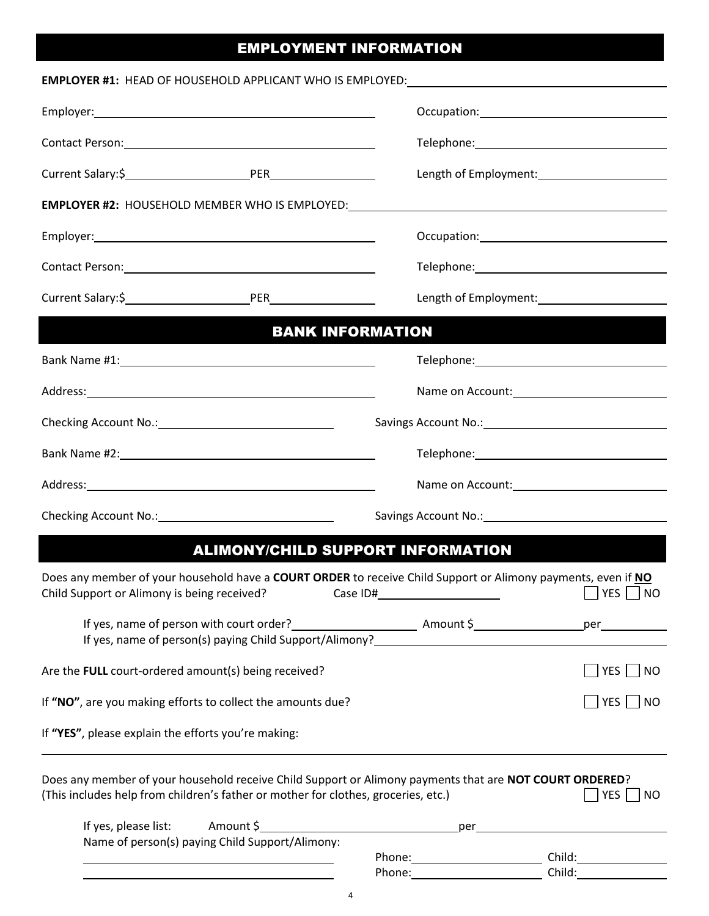# EMPLOYMENT INFORMATION

| EMPLOYER #1: HEAD OF HOUSEHOLD APPLICANT WHO IS EMPLOYED: _______________________                                                                                                                                                      |                                   |                              |
|----------------------------------------------------------------------------------------------------------------------------------------------------------------------------------------------------------------------------------------|-----------------------------------|------------------------------|
|                                                                                                                                                                                                                                        |                                   |                              |
|                                                                                                                                                                                                                                        |                                   |                              |
| Current Salary:\$ <b>Market Salary:</b> \$                                                                                                                                                                                             |                                   |                              |
|                                                                                                                                                                                                                                        |                                   |                              |
|                                                                                                                                                                                                                                        |                                   |                              |
| Contact Person: 2008 and 2008 and 2008 and 2008 and 2008 and 2008 and 2008 and 2008 and 2008 and 2008 and 2008                                                                                                                         |                                   |                              |
|                                                                                                                                                                                                                                        |                                   |                              |
| <b>BANK INFORMATION</b>                                                                                                                                                                                                                |                                   |                              |
|                                                                                                                                                                                                                                        |                                   |                              |
|                                                                                                                                                                                                                                        | Name on Account: Name on Account: |                              |
|                                                                                                                                                                                                                                        |                                   |                              |
| Bank Name #2: 1999 Manual Manual Manual Manual Manual Manual Manual Manual Manual Manual Manual Manual Manual                                                                                                                          |                                   |                              |
| Address: Note and the second contract of the second contract of the second contract of the second contract of the second contract of the second contract of the second contract of the second contract of the second contract          |                                   |                              |
|                                                                                                                                                                                                                                        |                                   |                              |
| <b>ALIMONY/CHILD SUPPORT INFORMATION</b>                                                                                                                                                                                               |                                   |                              |
| Does any member of your household have a COURT ORDER to receive Child Support or Alimony payments, even if NO<br>Child Support or Alimony is being received?<br>Case ID#                                                               |                                   | $YES$ $NO$                   |
| If yes, name of person with court order?<br><u> Letter Amount Sunner Community</u> Person and Person and Person and Person and Person and Person and Person and Per<br>If yes, name of person(s) paying Child Support/Alimony?<br>1992 |                                   |                              |
| Are the FULL court-ordered amount(s) being received?                                                                                                                                                                                   |                                   | $YES$   NO                   |
| If "NO", are you making efforts to collect the amounts due?                                                                                                                                                                            |                                   | $\vert$ YES $\vert \vert$ NO |
| If "YES", please explain the efforts you're making:                                                                                                                                                                                    |                                   |                              |
| Does any member of your household receive Child Support or Alimony payments that are NOT COURT ORDERED?<br>(This includes help from children's father or mother for clothes, groceries, etc.)                                          |                                   | $ YES $ $ NO$                |
| Name of person(s) paying Child Support/Alimony:                                                                                                                                                                                        |                                   |                              |
| <u> 1989 - Johann Stein, marwolaethau a bhann an t-Amhair an t-Amhair an t-Amhair an t-Amhair an t-Amhair an t-A</u>                                                                                                                   | Phone: Child: Child:              | Child:                       |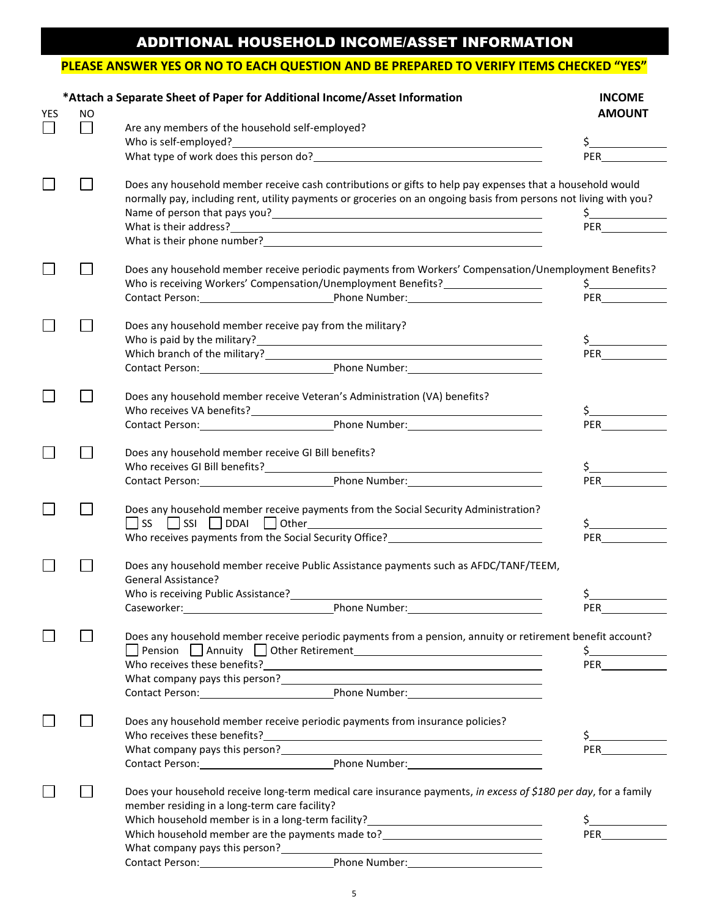# ADDITIONAL HOUSEHOLD INCOME/ASSET INFORMATION

## **PLEASE ANSWER YES OR NO TO EACH QUESTION AND BE PREPARED TO VERIFY ITEMS CHECKED "YES"**

|     |           | *Attach a Separate Sheet of Paper for Additional Income/Asset Information                                         | <b>INCOME</b>                                                                                                                                                                                                                  |
|-----|-----------|-------------------------------------------------------------------------------------------------------------------|--------------------------------------------------------------------------------------------------------------------------------------------------------------------------------------------------------------------------------|
| YES | <b>NO</b> |                                                                                                                   | <b>AMOUNT</b>                                                                                                                                                                                                                  |
|     |           | Are any members of the household self-employed?<br>Who is self-employed?                                          | \$                                                                                                                                                                                                                             |
|     |           |                                                                                                                   | PER and the state of the state of the state of the state of the state of the state of the state of the state of the state of the state of the state of the state of the state of the state of the state of the state of the st |
|     |           | Does any household member receive cash contributions or gifts to help pay expenses that a household would         |                                                                                                                                                                                                                                |
|     |           | normally pay, including rent, utility payments or groceries on an ongoing basis from persons not living with you? |                                                                                                                                                                                                                                |
|     |           |                                                                                                                   | $\frac{1}{2}$                                                                                                                                                                                                                  |
|     |           |                                                                                                                   | <b>PER Example</b>                                                                                                                                                                                                             |
|     |           |                                                                                                                   |                                                                                                                                                                                                                                |
|     |           | Does any household member receive periodic payments from Workers' Compensation/Unemployment Benefits?             |                                                                                                                                                                                                                                |
|     |           | Who is receiving Workers' Compensation/Unemployment Benefits?___________________                                  | $\frac{1}{2}$                                                                                                                                                                                                                  |
|     |           | Contact Person: Phone Number: 2012                                                                                | <b>PER Exercise State</b>                                                                                                                                                                                                      |
|     |           | Does any household member receive pay from the military?                                                          |                                                                                                                                                                                                                                |
|     |           |                                                                                                                   | $\frac{1}{2}$                                                                                                                                                                                                                  |
|     |           |                                                                                                                   | <b>PER</b>                                                                                                                                                                                                                     |
|     |           | Contact Person: Phone Number: 2012                                                                                |                                                                                                                                                                                                                                |
|     |           | Does any household member receive Veteran's Administration (VA) benefits?                                         |                                                                                                                                                                                                                                |
|     |           |                                                                                                                   |                                                                                                                                                                                                                                |
|     |           | Contact Person: Phone Number:                                                                                     | <b>PER Example</b>                                                                                                                                                                                                             |
|     |           | Does any household member receive GI Bill benefits?                                                               |                                                                                                                                                                                                                                |
|     |           |                                                                                                                   |                                                                                                                                                                                                                                |
|     |           | Contact Person: Phone Number:                                                                                     | <b>PER</b>                                                                                                                                                                                                                     |
|     |           |                                                                                                                   |                                                                                                                                                                                                                                |
|     |           | Does any household member receive payments from the Social Security Administration?                               |                                                                                                                                                                                                                                |
|     |           |                                                                                                                   |                                                                                                                                                                                                                                |
|     |           | Who receives payments from the Social Security Office?<br>Moreon Contract 2014                                    | PER and the state of the state of the state of the state of the state of the state of the state of the state of the state of the state of the state of the state of the state of the state of the state of the state of the st |
|     |           | Does any household member receive Public Assistance payments such as AFDC/TANF/TEEM,                              |                                                                                                                                                                                                                                |
|     |           | <b>General Assistance?</b>                                                                                        |                                                                                                                                                                                                                                |
|     |           | Who is receiving Public Assistance?                                                                               | \$_                                                                                                                                                                                                                            |
|     |           |                                                                                                                   |                                                                                                                                                                                                                                |
|     |           | Does any household member receive periodic payments from a pension, annuity or retirement benefit account?        |                                                                                                                                                                                                                                |
|     |           |                                                                                                                   | $\frac{1}{2}$                                                                                                                                                                                                                  |
|     |           | Who receives these benefits?<br><u> </u>                                                                          | PER and the state of the state of the state of the state of the state of the state of the state of the state of the state of the state of the state of the state of the state of the state of the state of the state of the st |
|     |           |                                                                                                                   |                                                                                                                                                                                                                                |
|     |           | Contact Person: Phone Number: Phone Number:                                                                       |                                                                                                                                                                                                                                |
|     |           | Does any household member receive periodic payments from insurance policies?                                      |                                                                                                                                                                                                                                |
|     |           | Who receives these benefits?<br><u> </u>                                                                          |                                                                                                                                                                                                                                |
|     |           | What company pays this person?<br><u> </u>                                                                        | <b>PER Exercise State</b>                                                                                                                                                                                                      |
|     |           | Contact Person: Phone Number: Phone Number:                                                                       |                                                                                                                                                                                                                                |
|     |           | Does your household receive long-term medical care insurance payments, in excess of \$180 per day, for a family   |                                                                                                                                                                                                                                |
|     |           | member residing in a long-term care facility?                                                                     |                                                                                                                                                                                                                                |
|     |           | Which household member is in a long-term facility?<br><u> </u>                                                    | \$_                                                                                                                                                                                                                            |
|     |           | Which household member are the payments made to?<br><u> Lettical</u>                                              |                                                                                                                                                                                                                                |
|     |           |                                                                                                                   |                                                                                                                                                                                                                                |
|     |           | Contact Person: Phone Number: 2001                                                                                |                                                                                                                                                                                                                                |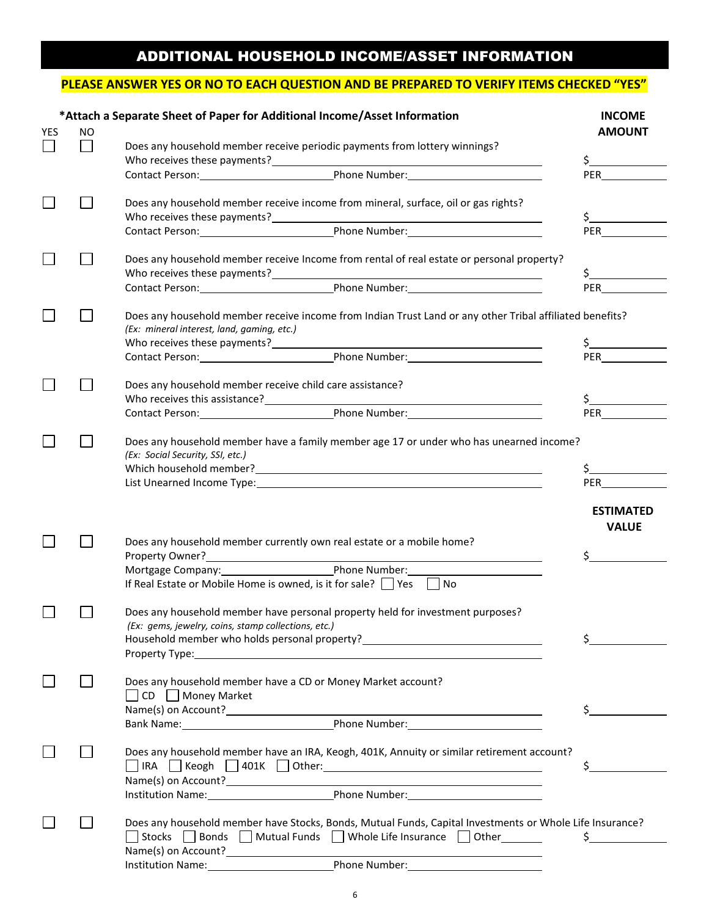# ADDITIONAL HOUSEHOLD INCOME/ASSET INFORMATION

### **PLEASE ANSWER YES OR NO TO EACH QUESTION AND BE PREPARED TO VERIFY ITEMS CHECKED "YES"**

|     |    | *Attach a Separate Sheet of Paper for Additional Income/Asset Information                                                                                                                                                      | <b>INCOME</b>                              |
|-----|----|--------------------------------------------------------------------------------------------------------------------------------------------------------------------------------------------------------------------------------|--------------------------------------------|
| YES | ΝO |                                                                                                                                                                                                                                | <b>AMOUNT</b>                              |
|     |    | Does any household member receive periodic payments from lottery winnings?                                                                                                                                                     |                                            |
|     |    |                                                                                                                                                                                                                                | $\zeta$<br><b>PER Example</b>              |
|     |    |                                                                                                                                                                                                                                |                                            |
|     |    | Does any household member receive income from mineral, surface, oil or gas rights?                                                                                                                                             |                                            |
|     |    |                                                                                                                                                                                                                                | \$_                                        |
|     |    |                                                                                                                                                                                                                                | <b>PER</b>                                 |
|     |    | Does any household member receive Income from rental of real estate or personal property?                                                                                                                                      |                                            |
|     |    |                                                                                                                                                                                                                                | \$_                                        |
|     |    |                                                                                                                                                                                                                                | PER                                        |
|     |    | Does any household member receive income from Indian Trust Land or any other Tribal affiliated benefits?                                                                                                                       |                                            |
|     |    | (Ex: mineral interest, land, gaming, etc.)                                                                                                                                                                                     |                                            |
|     |    | Who receives these payments?<br>Contact Person: Phone Number:                                                                                                                                                                  | $\frac{1}{2}$<br><b>PER Exercise State</b> |
|     |    |                                                                                                                                                                                                                                |                                            |
|     |    | Does any household member receive child care assistance?                                                                                                                                                                       |                                            |
|     |    |                                                                                                                                                                                                                                | \$_                                        |
|     |    |                                                                                                                                                                                                                                | <b>PER</b>                                 |
|     |    | Does any household member have a family member age 17 or under who has unearned income?                                                                                                                                        |                                            |
|     |    | (Ex: Social Security, SSI, etc.)                                                                                                                                                                                               |                                            |
|     |    |                                                                                                                                                                                                                                | \$<br><b>PER</b>                           |
|     |    |                                                                                                                                                                                                                                |                                            |
|     |    |                                                                                                                                                                                                                                | <b>ESTIMATED</b>                           |
|     |    |                                                                                                                                                                                                                                | <b>VALUE</b>                               |
|     |    | Does any household member currently own real estate or a mobile home?                                                                                                                                                          | $\sharp$ and $\sharp$                      |
|     |    | Mortgage Company: Phone Number:                                                                                                                                                                                                |                                            |
|     |    | If Real Estate or Mobile Home is owned, is it for sale? $\Box$ Yes<br>$\vert$ $\vert$ No                                                                                                                                       |                                            |
|     |    |                                                                                                                                                                                                                                |                                            |
|     |    | Does any household member have personal property held for investment purposes?<br>(Ex: gems, jewelry, coins, stamp collections, etc.)                                                                                          |                                            |
|     |    | Household member who holds personal property?                                                                                                                                                                                  | \$.                                        |
|     |    | Property Type: the contract of the contract of the contract of the contract of the contract of the contract of the contract of the contract of the contract of the contract of the contract of the contract of the contract of |                                            |
|     |    | Does any household member have a CD or Money Market account?                                                                                                                                                                   |                                            |
|     |    | $\Box$ CD $\Box$ Money Market                                                                                                                                                                                                  |                                            |
|     |    |                                                                                                                                                                                                                                | \$_                                        |
|     |    |                                                                                                                                                                                                                                |                                            |
|     |    | Does any household member have an IRA, Keogh, 401K, Annuity or similar retirement account?                                                                                                                                     |                                            |
|     |    |                                                                                                                                                                                                                                |                                            |
|     |    |                                                                                                                                                                                                                                |                                            |
|     |    |                                                                                                                                                                                                                                |                                            |
|     |    | Does any household member have Stocks, Bonds, Mutual Funds, Capital Investments or Whole Life Insurance?                                                                                                                       |                                            |
|     |    | Stocks Bonds Mutual Funds Whole Life Insurance Other                                                                                                                                                                           | \$.                                        |
|     |    |                                                                                                                                                                                                                                |                                            |
|     |    |                                                                                                                                                                                                                                |                                            |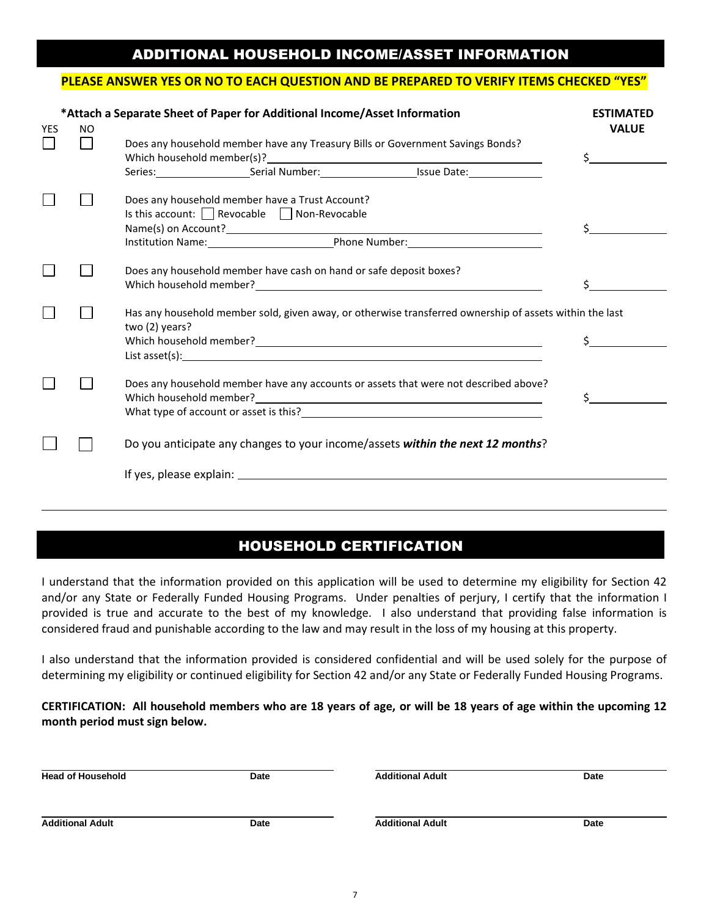# ADDITIONAL HOUSEHOLD INCOME/ASSET INFORMATION

#### **PLEASE ANSWER YES OR NO TO EACH QUESTION AND BE PREPARED TO VERIFY ITEMS CHECKED "YES"**

| *Attach a Separate Sheet of Paper for Additional Income/Asset Information | <b>ESTIMATED</b> |                                                                                                                                                                                                                                                                                                                    |                                            |
|---------------------------------------------------------------------------|------------------|--------------------------------------------------------------------------------------------------------------------------------------------------------------------------------------------------------------------------------------------------------------------------------------------------------------------|--------------------------------------------|
| <b>YES</b>                                                                | <b>NO</b>        | Does any household member have any Treasury Bills or Government Savings Bonds?<br>Which household member(s)?<br>Management of the state of the state of the state of the state of the state of the state of the state of the state of the state of the state of the state of the state of the state of the state o | <b>VALUE</b><br>\$                         |
|                                                                           |                  | Series: Serial Number: Serial Number: Series: Series: Series: Series: Series: Series: Series: Series: Series: Series: Series: Series: Series: Series: Series: Series: Series: Series: Series: Series: Series: Series: Series:                                                                                      |                                            |
|                                                                           |                  | Does any household member have a Trust Account?<br>Is this account: $\Box$ Revocable $\Box$ Non-Revocable                                                                                                                                                                                                          |                                            |
|                                                                           |                  | Does any household member have cash on hand or safe deposit boxes?                                                                                                                                                                                                                                                 |                                            |
|                                                                           |                  | Has any household member sold, given away, or otherwise transferred ownership of assets within the last<br>two (2) years?                                                                                                                                                                                          | $\mathsf{S}$ , and the set of $\mathsf{S}$ |
|                                                                           |                  | Does any household member have any accounts or assets that were not described above?<br>What type of account or asset is this?<br><u> </u>                                                                                                                                                                         | Ś.                                         |
|                                                                           |                  | Do you anticipate any changes to your income/assets within the next 12 months?                                                                                                                                                                                                                                     |                                            |
|                                                                           |                  |                                                                                                                                                                                                                                                                                                                    |                                            |

## HOUSEHOLD CERTIFICATION

I understand that the information provided on this application will be used to determine my eligibility for Section 42 and/or any State or Federally Funded Housing Programs. Under penalties of perjury, I certify that the information I provided is true and accurate to the best of my knowledge. I also understand that providing false information is considered fraud and punishable according to the law and may result in the loss of my housing at this property.

I also understand that the information provided is considered confidential and will be used solely for the purpose of determining my eligibility or continued eligibility for Section 42 and/or any State or Federally Funded Housing Programs.

### **CERTIFICATION: All household members who are 18 years of age, or will be 18 years of age within the upcoming 12 month period must sign below.**

| <b>Head of Household</b> | Date | <b>Additional Adult</b> | Date |
|--------------------------|------|-------------------------|------|
|                          |      |                         |      |
| <b>Additional Adult</b>  | Date | <b>Additional Adult</b> | Date |